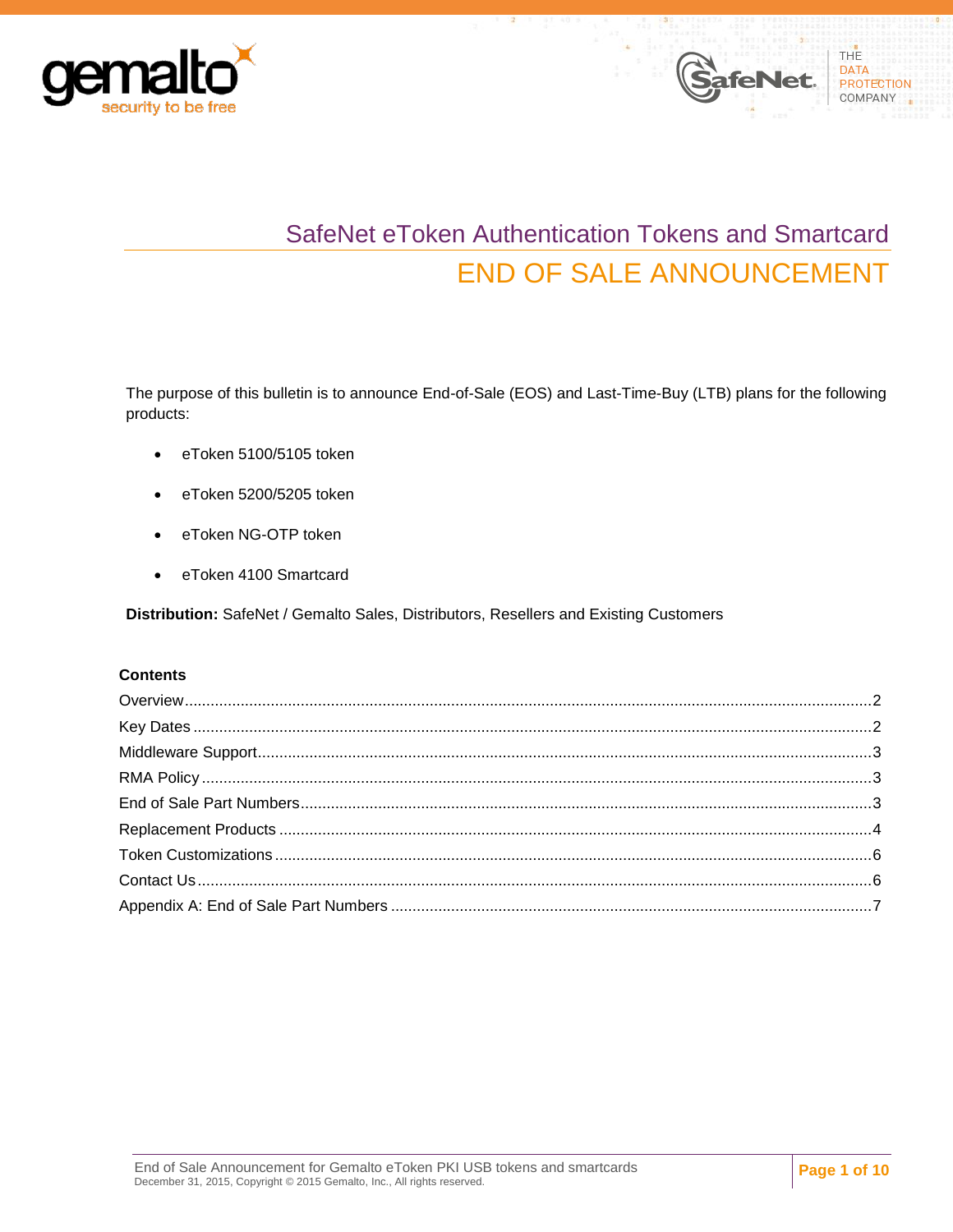



The purpose of this bulletin is to announce End-of-Sale (EOS) and Last-Time-Buy (LTB) plans for the following products:

- eToken 5100/5105 token
- eToken 5200/5205 token
- eToken NG-OTP token
- eToken 4100 Smartcard

**Distribution:** SafeNet / Gemalto Sales, Distributors, Resellers and Existing Customers

#### **Contents**

THE **DATA** 

**PROTECTION** COMPANY

**SafeNet**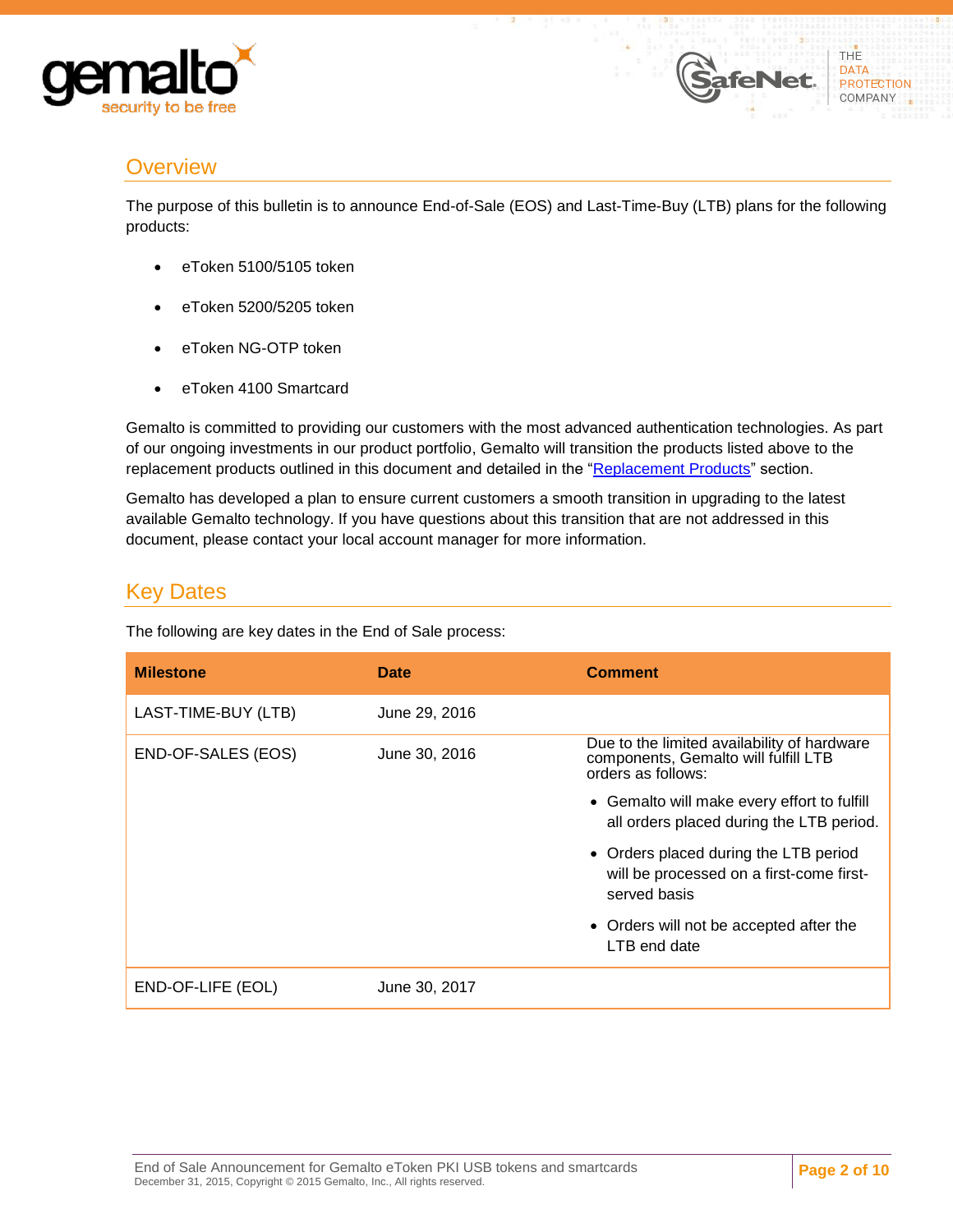



### <span id="page-1-0"></span>**Overview**

The purpose of this bulletin is to announce End-of-Sale (EOS) and Last-Time-Buy (LTB) plans for the following products:

- eToken 5100/5105 token
- eToken 5200/5205 token
- eToken NG-OTP token
- eToken 4100 Smartcard

Gemalto is committed to providing our customers with the most advanced authentication technologies. As part of our ongoing investments in our product portfolio, Gemalto will transition the products listed above to the replacement products outlined in this document and detailed in the ["Replacement Products"](#page-2-3) section.

Gemalto has developed a plan to ensure current customers a smooth transition in upgrading to the latest available Gemalto technology. If you have questions about this transition that are not addressed in this document, please contact your local account manager for more information.

### <span id="page-1-1"></span>Key Dates

The following are key dates in the End of Sale process:

| <b>Milestone</b>    | <b>Date</b>   | <b>Comment</b>                                                                                            |
|---------------------|---------------|-----------------------------------------------------------------------------------------------------------|
| LAST-TIME-BUY (LTB) | June 29, 2016 |                                                                                                           |
| END-OF-SALES (EOS)  | June 30, 2016 | Due to the limited availability of hardware<br>components, Gemalto will fulfill LTB<br>orders as follows: |
|                     |               | • Gemalto will make every effort to fulfill<br>all orders placed during the LTB period.                   |
|                     |               | • Orders placed during the LTB period<br>will be processed on a first-come first-<br>served basis         |
|                     |               | • Orders will not be accepted after the<br>LTB end date                                                   |
| END-OF-LIFE (EOL)   | June 30, 2017 |                                                                                                           |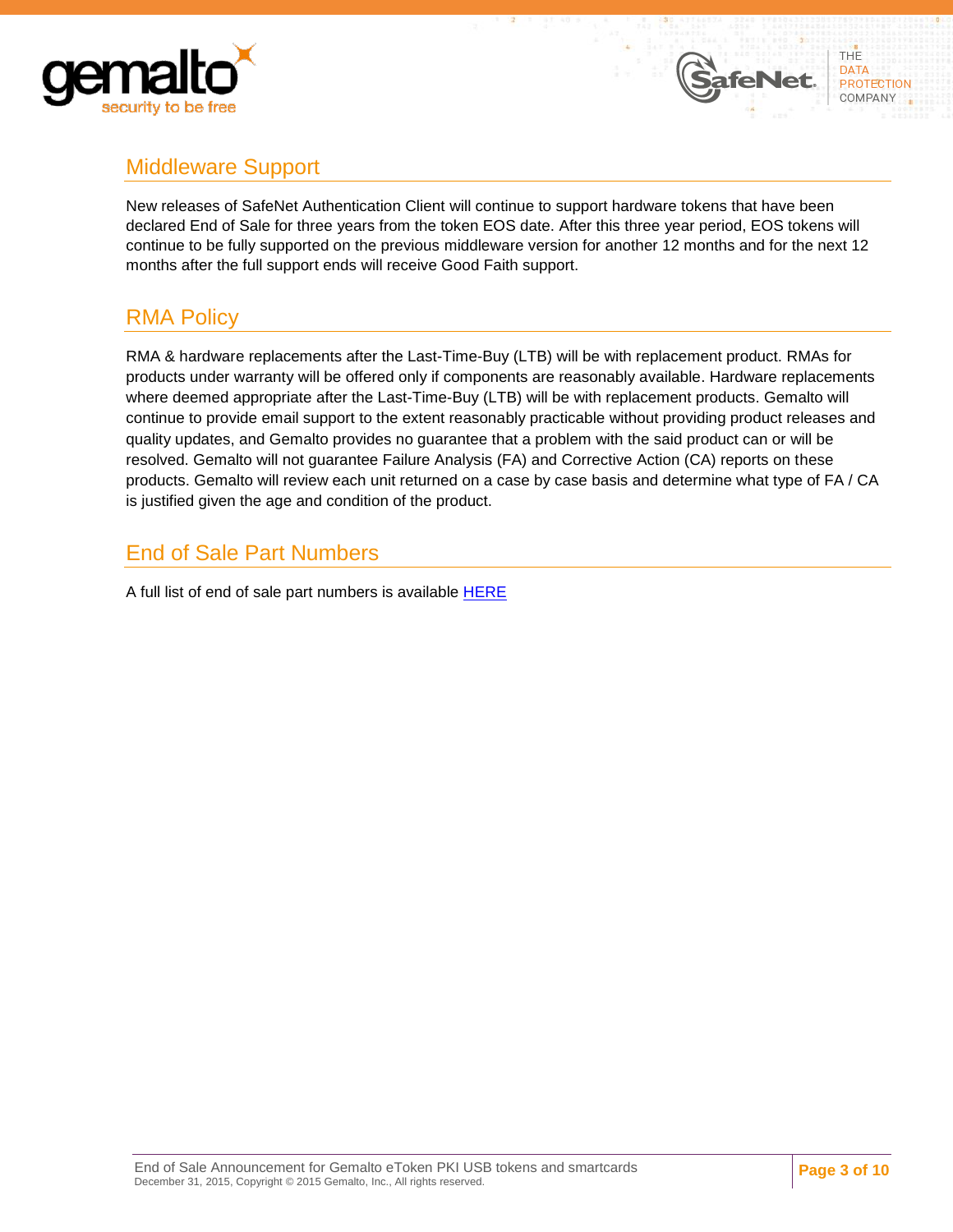



## <span id="page-2-0"></span>Middleware Support

New releases of SafeNet Authentication Client will continue to support hardware tokens that have been declared End of Sale for three years from the token EOS date. After this three year period, EOS tokens will continue to be fully supported on the previous middleware version for another 12 months and for the next 12 months after the full support ends will receive Good Faith support.

## <span id="page-2-1"></span>RMA Policy

RMA & hardware replacements after the Last-Time-Buy (LTB) will be with replacement product. RMAs for products under warranty will be offered only if components are reasonably available. Hardware replacements where deemed appropriate after the Last-Time-Buy (LTB) will be with replacement products. Gemalto will continue to provide email support to the extent reasonably practicable without providing product releases and quality updates, and Gemalto provides no guarantee that a problem with the said product can or will be resolved. Gemalto will not guarantee Failure Analysis (FA) and Corrective Action (CA) reports on these products. Gemalto will review each unit returned on a case by case basis and determine what type of FA / CA is justified given the age and condition of the product.

## <span id="page-2-2"></span>End of Sale Part Numbers

<span id="page-2-3"></span>A full list of end of sale part numbers is available [HERE](#page-6-0)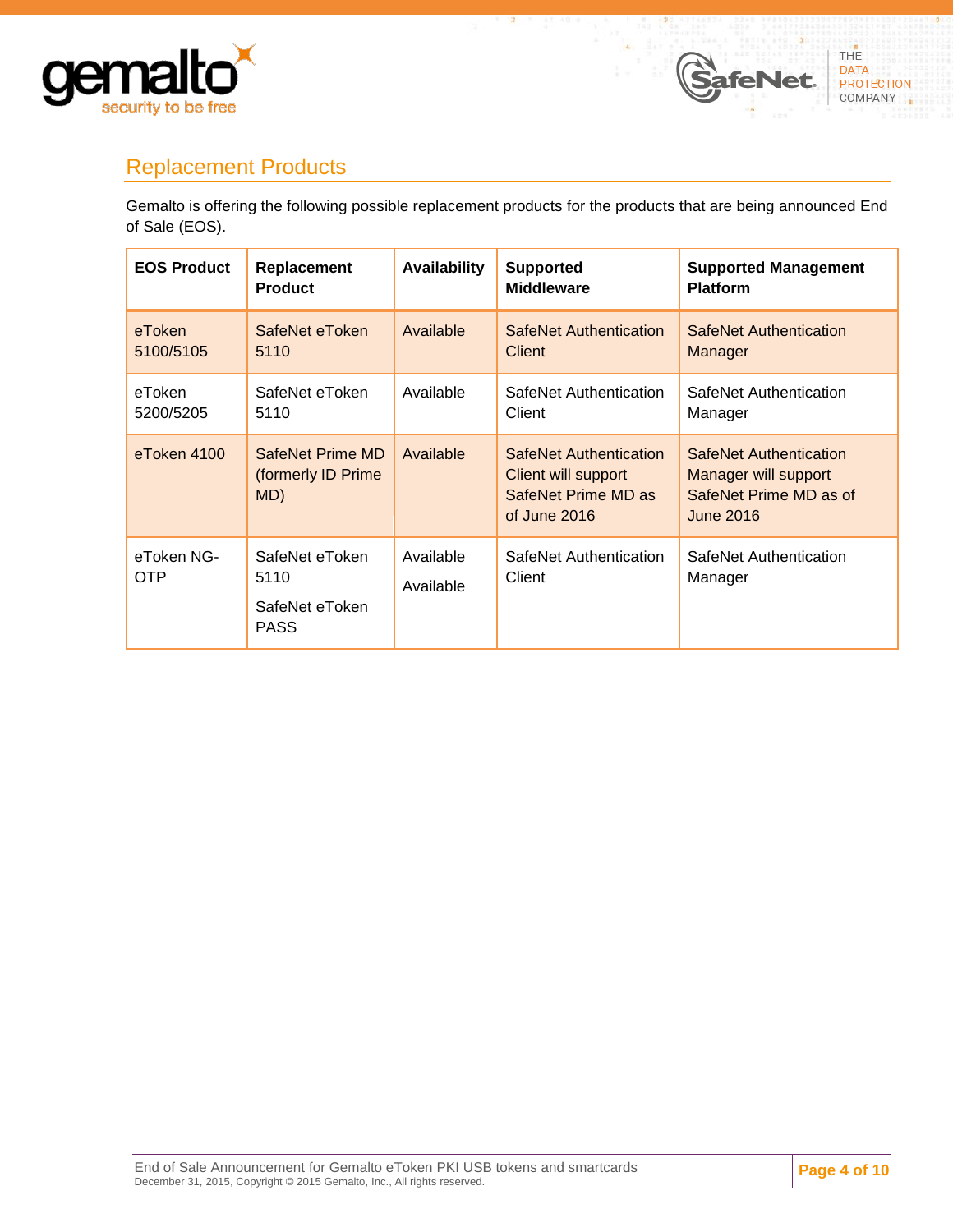



# <span id="page-3-0"></span>Replacement Products

Gemalto is offering the following possible replacement products for the products that are being announced End of Sale (EOS).

Y.

| <b>EOS Product</b>       | Replacement<br><b>Product</b>                           | <b>Availability</b>    | <b>Supported</b><br><b>Middleware</b>                                                       | <b>Supported Management</b><br><b>Platform</b>                                                      |
|--------------------------|---------------------------------------------------------|------------------------|---------------------------------------------------------------------------------------------|-----------------------------------------------------------------------------------------------------|
| eToken<br>5100/5105      | SafeNet eToken<br>5110                                  | Available              | <b>SafeNet Authentication</b><br>Client                                                     | <b>SafeNet Authentication</b><br><b>Manager</b>                                                     |
| eToken<br>5200/5205      | SafeNet eToken<br>5110                                  | Available              | SafeNet Authentication<br>Client                                                            | SafeNet Authentication<br>Manager                                                                   |
| eToken 4100              | SafeNet Prime MD<br>(formerly ID Prime<br>MD)           | Available              | <b>SafeNet Authentication</b><br>Client will support<br>SafeNet Prime MD as<br>of June 2016 | <b>SafeNet Authentication</b><br>Manager will support<br>SafeNet Prime MD as of<br><b>June 2016</b> |
| eToken NG-<br><b>OTP</b> | SafeNet eToken<br>5110<br>SafeNet eToken<br><b>PASS</b> | Available<br>Available | SafeNet Authentication<br>Client                                                            | SafeNet Authentication<br>Manager                                                                   |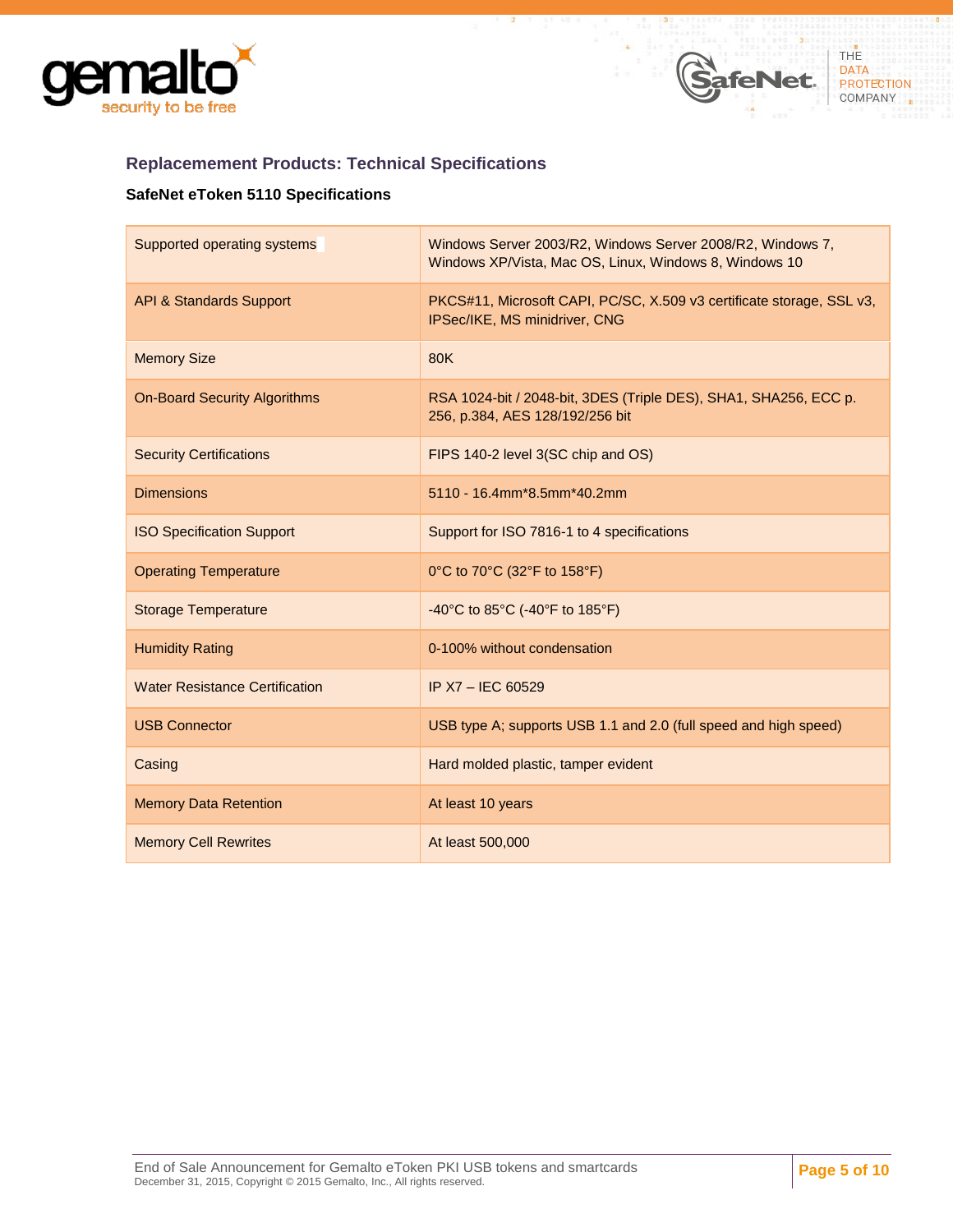



### **Replacemement Products: Technical Specifications**

#### **SafeNet eToken 5110 Specifications**

| Supported operating systems           | Windows Server 2003/R2, Windows Server 2008/R2, Windows 7,<br>Windows XP/Vista, Mac OS, Linux, Windows 8, Windows 10 |
|---------------------------------------|----------------------------------------------------------------------------------------------------------------------|
| <b>API &amp; Standards Support</b>    | PKCS#11, Microsoft CAPI, PC/SC, X.509 v3 certificate storage, SSL v3,<br>IPSec/IKE, MS minidriver, CNG               |
| <b>Memory Size</b>                    | <b>80K</b>                                                                                                           |
| <b>On-Board Security Algorithms</b>   | RSA 1024-bit / 2048-bit, 3DES (Triple DES), SHA1, SHA256, ECC p.<br>256, p.384, AES 128/192/256 bit                  |
| <b>Security Certifications</b>        | FIPS 140-2 level 3(SC chip and OS)                                                                                   |
| <b>Dimensions</b>                     | 5110 - 16.4mm*8.5mm*40.2mm                                                                                           |
| <b>ISO Specification Support</b>      | Support for ISO 7816-1 to 4 specifications                                                                           |
| <b>Operating Temperature</b>          | 0°C to 70°C (32°F to 158°F)                                                                                          |
| <b>Storage Temperature</b>            | -40°C to 85°C (-40°F to 185°F)                                                                                       |
| <b>Humidity Rating</b>                | 0-100% without condensation                                                                                          |
| <b>Water Resistance Certification</b> | IP X7 - IEC 60529                                                                                                    |
| <b>USB Connector</b>                  | USB type A; supports USB 1.1 and 2.0 (full speed and high speed)                                                     |
| Casing                                | Hard molded plastic, tamper evident                                                                                  |
| <b>Memory Data Retention</b>          | At least 10 years                                                                                                    |
| <b>Memory Cell Rewrites</b>           | At least 500,000                                                                                                     |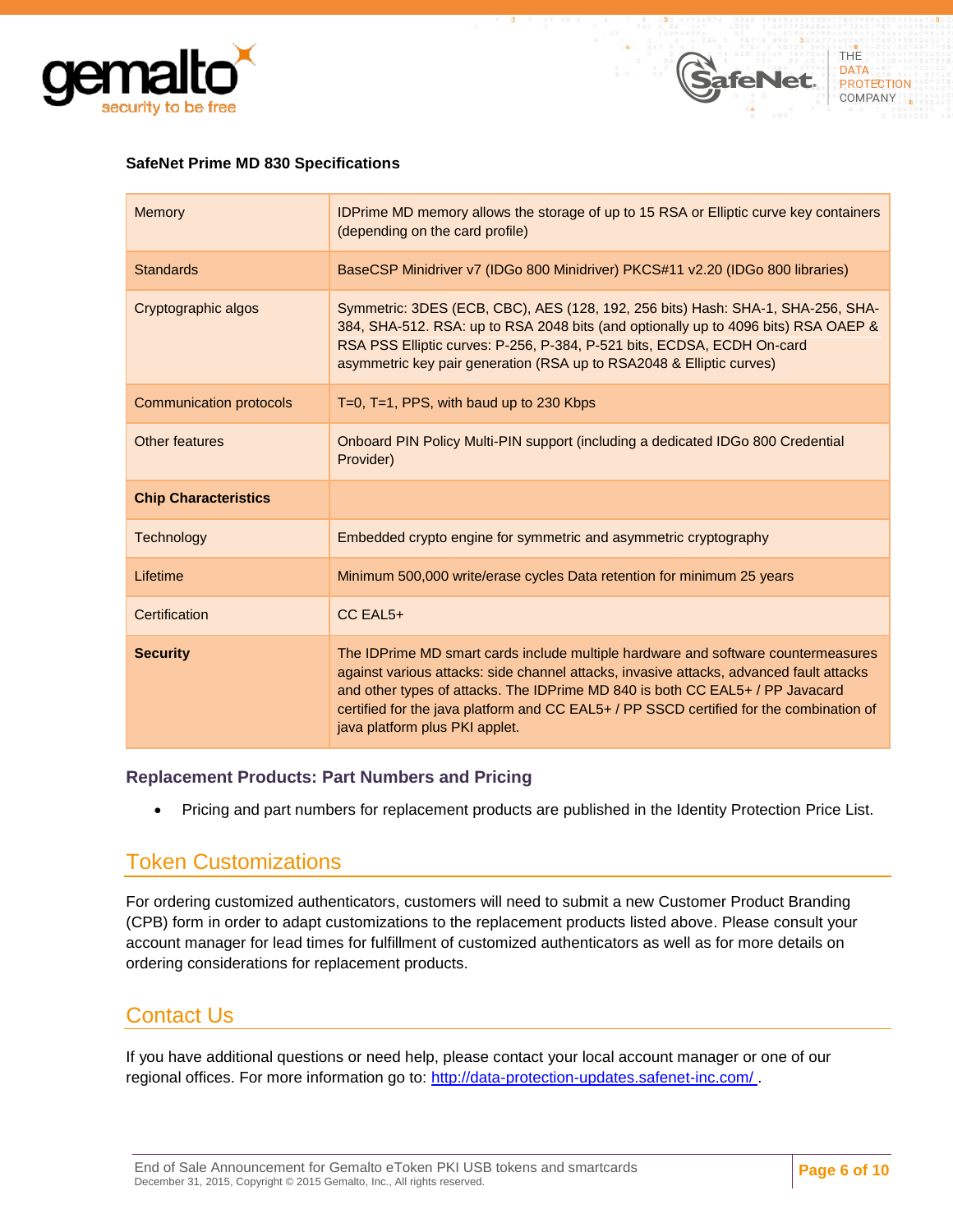



#### **SafeNet Prime MD 830 Specifications**

| <b>Memory</b>               | <b>IDPrime MD memory allows the storage of up to 15 RSA or Elliptic curve key containers</b><br>(depending on the card profile)                                                                                                                                                                                                                                                            |
|-----------------------------|--------------------------------------------------------------------------------------------------------------------------------------------------------------------------------------------------------------------------------------------------------------------------------------------------------------------------------------------------------------------------------------------|
| <b>Standards</b>            | BaseCSP Minidriver v7 (IDGo 800 Minidriver) PKCS#11 v2.20 (IDGo 800 libraries)                                                                                                                                                                                                                                                                                                             |
| Cryptographic algos         | Symmetric: 3DES (ECB, CBC), AES (128, 192, 256 bits) Hash: SHA-1, SHA-256, SHA-<br>384, SHA-512. RSA: up to RSA 2048 bits (and optionally up to 4096 bits) RSA OAEP &<br>RSA PSS Elliptic curves: P-256, P-384, P-521 bits, ECDSA, ECDH On-card<br>asymmetric key pair generation (RSA up to RSA2048 & Elliptic curves)                                                                    |
| Communication protocols     | $T=0$ , $T=1$ , PPS, with baud up to 230 Kbps                                                                                                                                                                                                                                                                                                                                              |
| Other features              | Onboard PIN Policy Multi-PIN support (including a dedicated IDGo 800 Credential<br>Provider)                                                                                                                                                                                                                                                                                               |
| <b>Chip Characteristics</b> |                                                                                                                                                                                                                                                                                                                                                                                            |
| <b>Technology</b>           | Embedded crypto engine for symmetric and asymmetric cryptography                                                                                                                                                                                                                                                                                                                           |
| Lifetime                    | Minimum 500,000 write/erase cycles Data retention for minimum 25 years                                                                                                                                                                                                                                                                                                                     |
| Certification               | CC EAL5+                                                                                                                                                                                                                                                                                                                                                                                   |
| <b>Security</b>             | The IDPrime MD smart cards include multiple hardware and software countermeasures<br>against various attacks: side channel attacks, invasive attacks, advanced fault attacks<br>and other types of attacks. The IDPrime MD 840 is both CC EAL5+ / PP Javacard<br>certified for the java platform and CC EAL5+ / PP SSCD certified for the combination of<br>java platform plus PKI applet. |

#### **Replacement Products: Part Numbers and Pricing**

Pricing and part numbers for replacement products are published in the Identity Protection Price List.

### <span id="page-5-0"></span>Token Customizations

For ordering customized authenticators, customers will need to submit a new Customer Product Branding (CPB) form in order to adapt customizations to the replacement products listed above. Please consult your account manager for lead times for fulfillment of customized authenticators as well as for more details on ordering considerations for replacement products.

### <span id="page-5-1"></span>Contact Us

If you have additional questions or need help, please contact your local account manager or one of our regional offices. For more information go to: http://data-protection-updates.safenet-inc.com/.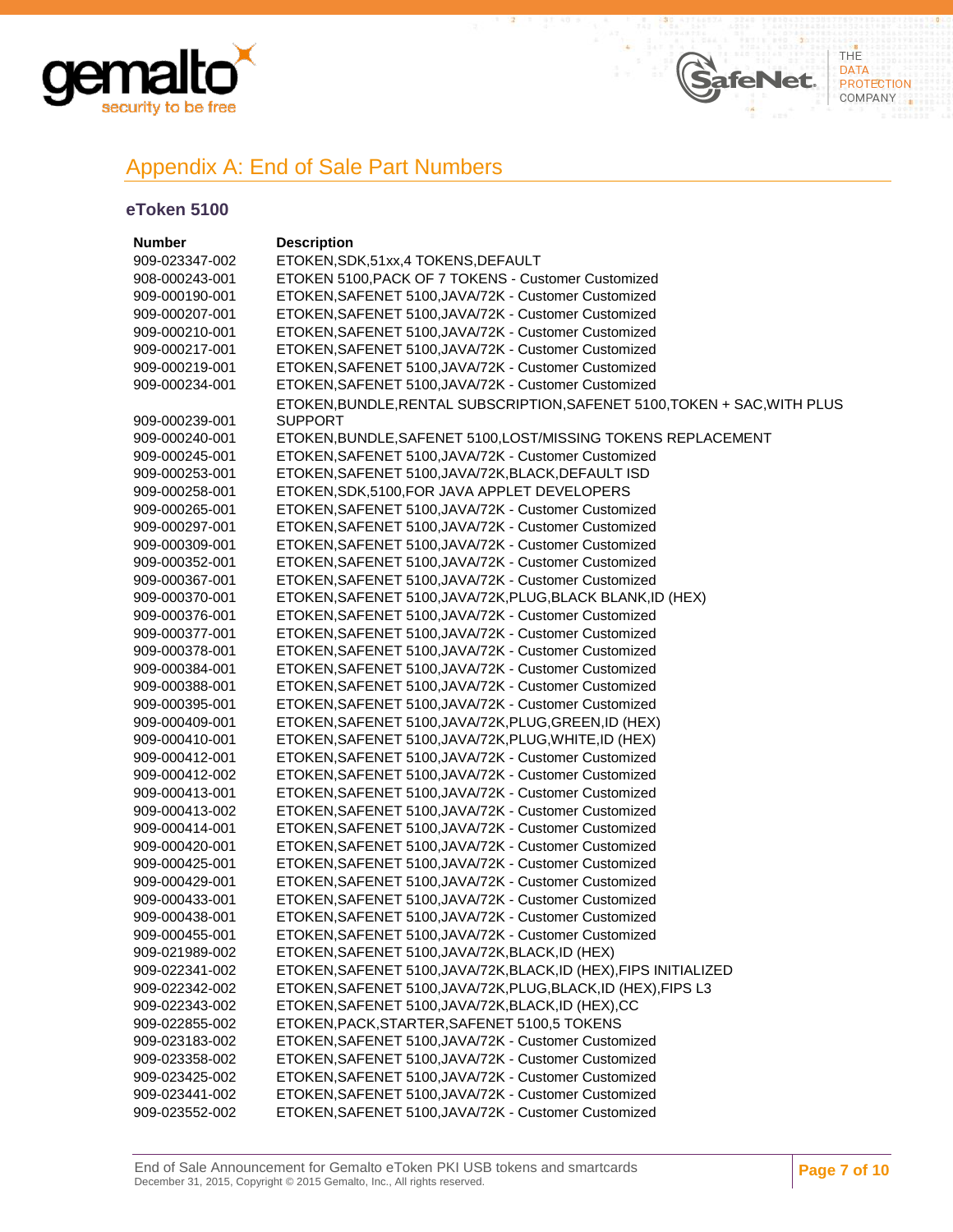

# <span id="page-6-0"></span>Appendix A: End of Sale Part Numbers

#### **eToken 5100**

| <b>Number</b>  | <b>Description</b>                                                        |
|----------------|---------------------------------------------------------------------------|
| 909-023347-002 | ETOKEN, SDK, 51xx, 4 TOKENS, DEFAULT                                      |
| 908-000243-001 | ETOKEN 5100, PACK OF 7 TOKENS - Customer Customized                       |
| 909-000190-001 | ETOKEN, SAFENET 5100, JAVA/72K - Customer Customized                      |
| 909-000207-001 | ETOKEN, SAFENET 5100, JAVA/72K - Customer Customized                      |
| 909-000210-001 | ETOKEN, SAFENET 5100, JAVA/72K - Customer Customized                      |
| 909-000217-001 | ETOKEN, SAFENET 5100, JAVA/72K - Customer Customized                      |
| 909-000219-001 | ETOKEN, SAFENET 5100, JAVA/72K - Customer Customized                      |
| 909-000234-001 | ETOKEN, SAFENET 5100, JAVA/72K - Customer Customized                      |
|                | ETOKEN, BUNDLE, RENTAL SUBSCRIPTION, SAFENET 5100, TOKEN + SAC, WITH PLUS |
| 909-000239-001 | <b>SUPPORT</b>                                                            |
| 909-000240-001 | ETOKEN, BUNDLE, SAFENET 5100, LOST/MISSING TOKENS REPLACEMENT             |
| 909-000245-001 | ETOKEN, SAFENET 5100, JAVA/72K - Customer Customized                      |
| 909-000253-001 | ETOKEN, SAFENET 5100, JAVA/72K, BLACK, DEFAULT ISD                        |
| 909-000258-001 | ETOKEN, SDK, 5100, FOR JAVA APPLET DEVELOPERS                             |
| 909-000265-001 | ETOKEN, SAFENET 5100, JAVA/72K - Customer Customized                      |
| 909-000297-001 | ETOKEN, SAFENET 5100, JAVA/72K - Customer Customized                      |
| 909-000309-001 | ETOKEN, SAFENET 5100, JAVA/72K - Customer Customized                      |
| 909-000352-001 | ETOKEN, SAFENET 5100, JAVA/72K - Customer Customized                      |
| 909-000367-001 | ETOKEN, SAFENET 5100, JAVA/72K - Customer Customized                      |
| 909-000370-001 | ETOKEN, SAFENET 5100, JAVA/72K, PLUG, BLACK BLANK, ID (HEX)               |
| 909-000376-001 | ETOKEN, SAFENET 5100, JAVA/72K - Customer Customized                      |
| 909-000377-001 | ETOKEN, SAFENET 5100, JAVA/72K - Customer Customized                      |
| 909-000378-001 | ETOKEN, SAFENET 5100, JAVA/72K - Customer Customized                      |
| 909-000384-001 | ETOKEN, SAFENET 5100, JAVA/72K - Customer Customized                      |
| 909-000388-001 | ETOKEN, SAFENET 5100, JAVA/72K - Customer Customized                      |
| 909-000395-001 | ETOKEN, SAFENET 5100, JAVA/72K - Customer Customized                      |
| 909-000409-001 | ETOKEN, SAFENET 5100, JAVA/72K, PLUG, GREEN, ID (HEX)                     |
| 909-000410-001 | ETOKEN, SAFENET 5100, JAVA/72K, PLUG, WHITE, ID (HEX)                     |
| 909-000412-001 | ETOKEN, SAFENET 5100, JAVA/72K - Customer Customized                      |
| 909-000412-002 | ETOKEN, SAFENET 5100, JAVA/72K - Customer Customized                      |
| 909-000413-001 | ETOKEN, SAFENET 5100, JAVA/72K - Customer Customized                      |
| 909-000413-002 | ETOKEN, SAFENET 5100, JAVA/72K - Customer Customized                      |
| 909-000414-001 | ETOKEN, SAFENET 5100, JAVA/72K - Customer Customized                      |
| 909-000420-001 | ETOKEN, SAFENET 5100, JAVA/72K - Customer Customized                      |
| 909-000425-001 | ETOKEN, SAFENET 5100, JAVA/72K - Customer Customized                      |
| 909-000429-001 | ETOKEN, SAFENET 5100, JAVA/72K - Customer Customized                      |
| 909-000433-001 | ETOKEN, SAFENET 5100, JAVA/72K - Customer Customized                      |
| 909-000438-001 | ETOKEN, SAFENET 5100, JAVA/72K - Customer Customized                      |
| 909-000455-001 | ETOKEN, SAFENET 5100, JAVA/72K - Customer Customized                      |
| 909-021989-002 | ETOKEN, SAFENET 5100, JAVA/72K, BLACK, ID (HEX)                           |
| 909-022341-002 | ETOKEN, SAFENET 5100, JAVA/72K, BLACK, ID (HEX), FIPS INITIALIZED         |
| 909-022342-002 | ETOKEN, SAFENET 5100, JAVA/72K, PLUG, BLACK, ID (HEX), FIPS L3            |
| 909-022343-002 | ETOKEN, SAFENET 5100, JAVA/72K, BLACK, ID (HEX), CC                       |
| 909-022855-002 | ETOKEN, PACK, STARTER, SAFENET 5100, 5 TOKENS                             |
| 909-023183-002 | ETOKEN, SAFENET 5100, JAVA/72K - Customer Customized                      |
| 909-023358-002 | ETOKEN, SAFENET 5100, JAVA/72K - Customer Customized                      |
| 909-023425-002 | ETOKEN, SAFENET 5100, JAVA/72K - Customer Customized                      |
| 909-023441-002 | ETOKEN, SAFENET 5100, JAVA/72K - Customer Customized                      |
| 909-023552-002 | ETOKEN, SAFENET 5100, JAVA/72K - Customer Customized                      |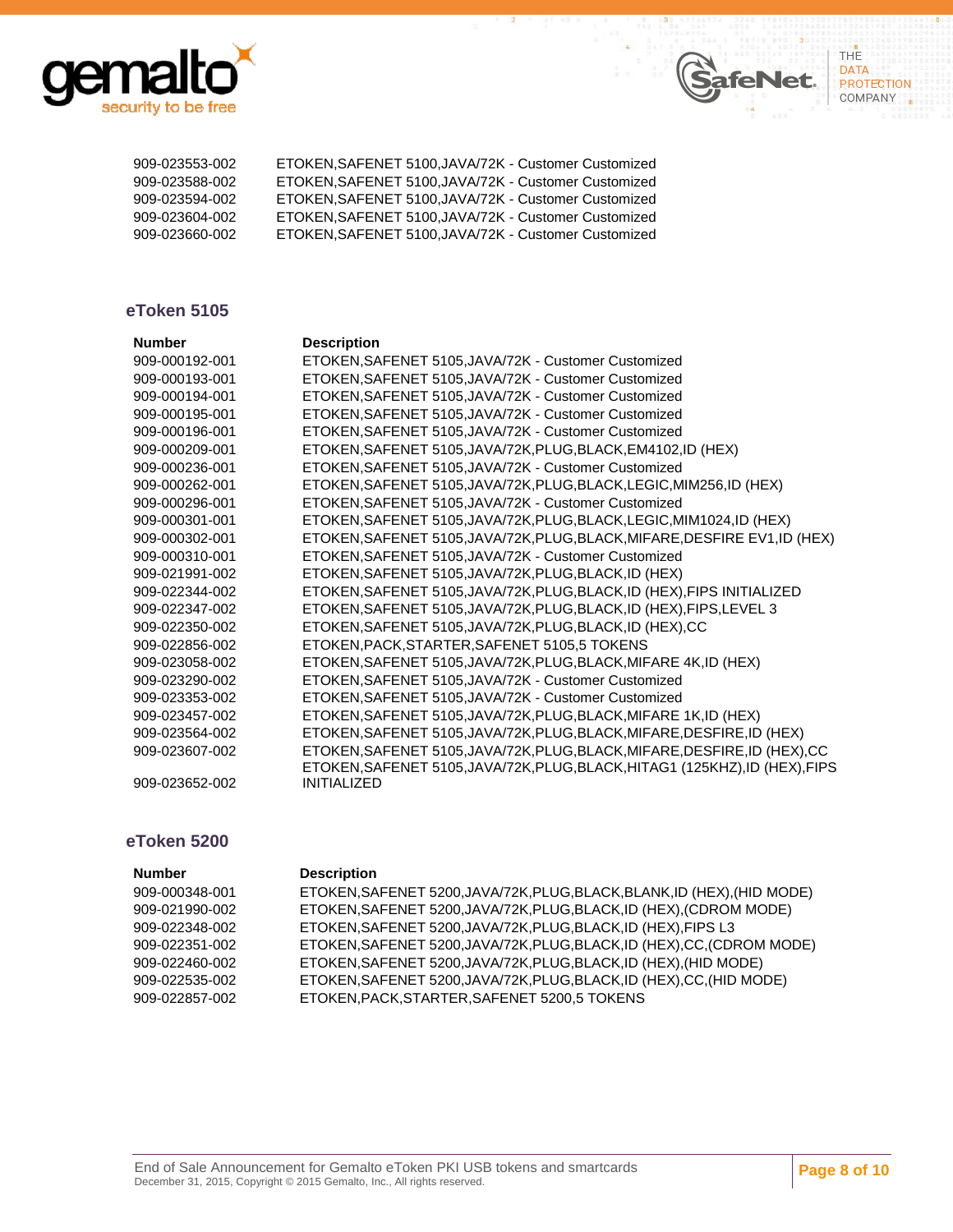



**DATA** PROTECTION COMPANY

909-023553-002 ETOKEN,SAFENET 5100,JAVA/72K - Customer Customized 909-023588-002 ETOKEN,SAFENET 5100,JAVA/72K - Customer Customized 909-023594-002 ETOKEN,SAFENET 5100,JAVA/72K - Customer Customized 909-023604-002 ETOKEN,SAFENET 5100,JAVA/72K - Customer Customized 909-023660-002 ETOKEN,SAFENET 5100,JAVA/72K - Customer Customized

#### **eToken 5105**

| <b>Number</b>  | <b>Description</b>                                                           |
|----------------|------------------------------------------------------------------------------|
| 909-000192-001 | ETOKEN, SAFENET 5105, JAVA/72K - Customer Customized                         |
| 909-000193-001 | ETOKEN, SAFENET 5105, JAVA/72K - Customer Customized                         |
| 909-000194-001 | ETOKEN, SAFENET 5105, JAVA/72K - Customer Customized                         |
| 909-000195-001 | ETOKEN, SAFENET 5105, JAVA/72K - Customer Customized                         |
| 909-000196-001 | ETOKEN, SAFENET 5105, JAVA/72K - Customer Customized                         |
| 909-000209-001 | ETOKEN, SAFENET 5105, JAVA/72K, PLUG, BLACK, EM4102, ID (HEX)                |
| 909-000236-001 | ETOKEN, SAFENET 5105, JAVA/72K - Customer Customized                         |
| 909-000262-001 | ETOKEN, SAFENET 5105, JAVA/72K, PLUG, BLACK, LEGIC, MIM256, ID (HEX)         |
| 909-000296-001 | ETOKEN, SAFENET 5105, JAVA/72K - Customer Customized                         |
| 909-000301-001 | ETOKEN, SAFENET 5105, JAVA/72K, PLUG, BLACK, LEGIC, MIM1024, ID (HEX)        |
| 909-000302-001 | ETOKEN, SAFENET 5105, JAVA/72K, PLUG, BLACK, MIFARE, DESFIRE EV1, ID (HEX)   |
| 909-000310-001 | ETOKEN, SAFENET 5105, JAVA/72K - Customer Customized                         |
| 909-021991-002 | ETOKEN, SAFENET 5105, JAVA/72K, PLUG, BLACK, ID (HEX)                        |
| 909-022344-002 | ETOKEN, SAFENET 5105, JAVA/72K, PLUG, BLACK, ID (HEX), FIPS INITIALIZED      |
| 909-022347-002 | ETOKEN, SAFENET 5105, JAVA/72K, PLUG, BLACK, ID (HEX), FIPS, LEVEL 3         |
| 909-022350-002 | ETOKEN, SAFENET 5105, JAVA/72K, PLUG, BLACK, ID (HEX), CC                    |
| 909-022856-002 | ETOKEN, PACK, STARTER, SAFENET 5105,5 TOKENS                                 |
| 909-023058-002 | ETOKEN, SAFENET 5105, JAVA/72K, PLUG, BLACK, MIFARE 4K, ID (HEX)             |
| 909-023290-002 | ETOKEN, SAFENET 5105, JAVA/72K - Customer Customized                         |
| 909-023353-002 | ETOKEN, SAFENET 5105, JAVA/72K - Customer Customized                         |
| 909-023457-002 | ETOKEN, SAFENET 5105, JAVA/72K, PLUG, BLACK, MIFARE 1K, ID (HEX)             |
| 909-023564-002 | ETOKEN, SAFENET 5105, JAVA/72K, PLUG, BLACK, MIFARE, DESFIRE, ID (HEX)       |
| 909-023607-002 | ETOKEN, SAFENET 5105, JAVA/72K, PLUG, BLACK, MIFARE, DESFIRE, ID (HEX), CC   |
|                | ETOKEN, SAFENET 5105, JAVA/72K, PLUG, BLACK, HITAG1 (125KHZ), ID (HEX), FIPS |
| 909-023652-002 | <b>INITIALIZED</b>                                                           |

#### **eToken 5200**

| <b>Number</b>  | <b>Description</b>                                                       |
|----------------|--------------------------------------------------------------------------|
| 909-000348-001 | ETOKEN, SAFENET 5200, JAVA/72K, PLUG, BLACK, BLANK, ID (HEX), (HID MODE) |
| 909-021990-002 | ETOKEN, SAFENET 5200, JAVA/72K, PLUG, BLACK, ID (HEX), (CDROM MODE)      |
| 909-022348-002 | ETOKEN, SAFENET 5200, JAVA/72K, PLUG, BLACK, ID (HEX), FIPS L3           |
| 909-022351-002 | ETOKEN, SAFENET 5200, JAVA/72K, PLUG, BLACK, ID (HEX), CC, (CDROM MODE)  |
| 909-022460-002 | ETOKEN, SAFENET 5200, JAVA/72K, PLUG, BLACK, ID (HEX), (HID MODE)        |
| 909-022535-002 | ETOKEN, SAFENET 5200, JAVA/72K, PLUG, BLACK, ID (HEX), CC, (HID MODE)    |
| 909-022857-002 | ETOKEN, PACK, STARTER, SAFENET 5200, 5 TOKENS                            |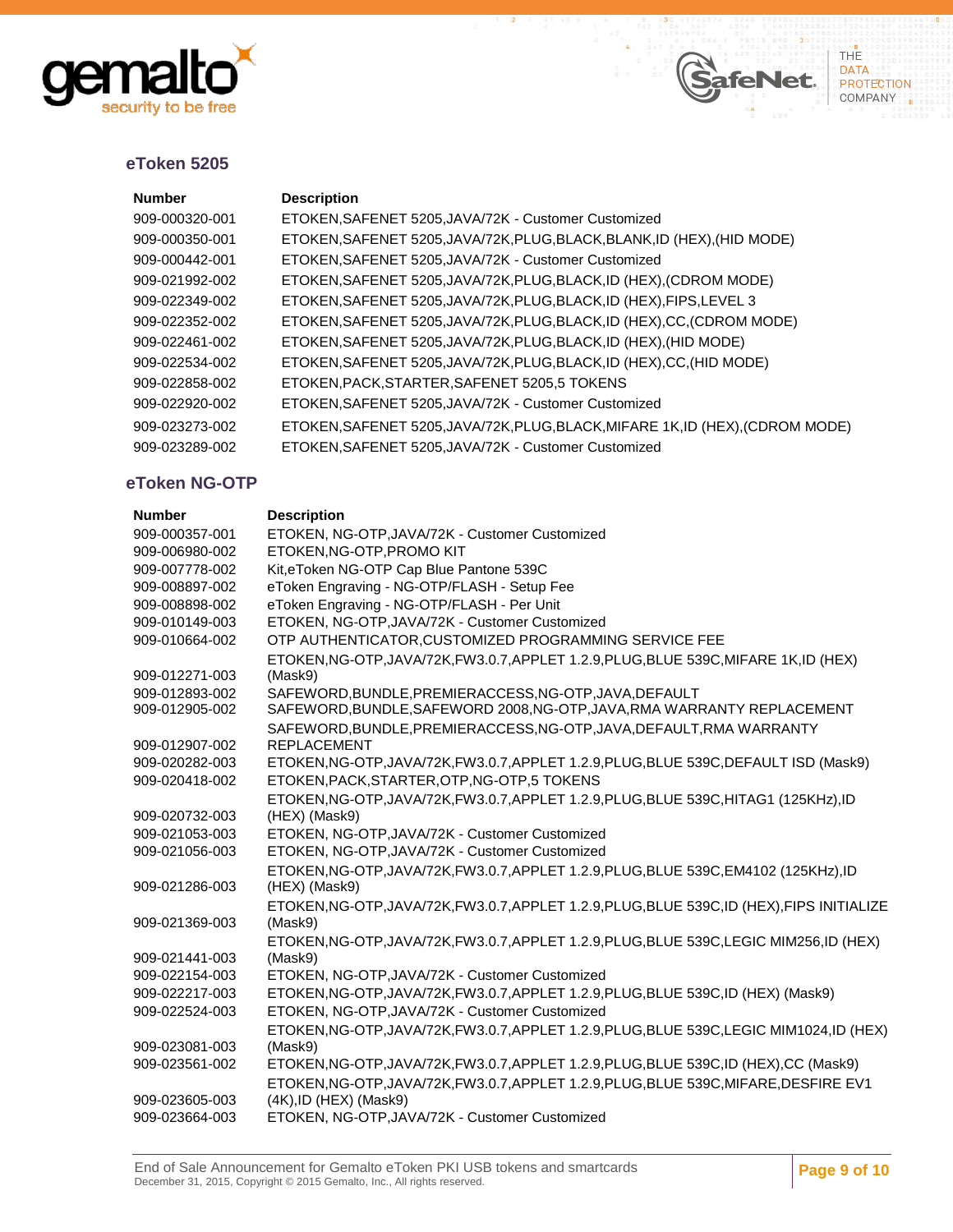



| <b>Number</b>  | <b>Description</b>                                                             |
|----------------|--------------------------------------------------------------------------------|
| 909-000320-001 | ETOKEN, SAFENET 5205, JAVA/72K - Customer Customized                           |
| 909-000350-001 | ETOKEN, SAFENET 5205, JAVA/72K, PLUG, BLACK, BLANK, ID (HEX), (HID MODE)       |
| 909-000442-001 | ETOKEN, SAFENET 5205, JAVA/72K - Customer Customized                           |
| 909-021992-002 | ETOKEN, SAFENET 5205, JAVA/72K, PLUG, BLACK, ID (HEX), (CDROM MODE)            |
| 909-022349-002 | ETOKEN, SAFENET 5205, JAVA/72K, PLUG, BLACK, ID (HEX), FIPS, LEVEL 3           |
| 909-022352-002 | ETOKEN, SAFENET 5205, JAVA/72K, PLUG, BLACK, ID (HEX), CC, (CDROM MODE)        |
| 909-022461-002 | ETOKEN, SAFENET 5205, JAVA/72K, PLUG, BLACK, ID (HEX), (HID MODE)              |
| 909-022534-002 | ETOKEN, SAFENET 5205, JAVA/72K, PLUG, BLACK, ID (HEX), CC, (HID MODE)          |
| 909-022858-002 | ETOKEN, PACK, STARTER, SAFENET 5205, 5 TOKENS                                  |
| 909-022920-002 | ETOKEN, SAFENET 5205, JAVA/72K - Customer Customized                           |
| 909-023273-002 | ETOKEN, SAFENET 5205, JAVA/72K, PLUG, BLACK, MIFARE 1K, ID (HEX), (CDROM MODE) |
| 909-023289-002 | ETOKEN, SAFENET 5205, JAVA/72K - Customer Customized                           |

SafeNet

THE

**DATA** PROTECTION<br>COMPANY

#### **eToken NG-OTP**

| <b>Number</b>  | <b>Description</b>                                                                          |
|----------------|---------------------------------------------------------------------------------------------|
| 909-000357-001 | ETOKEN, NG-OTP, JAVA/72K - Customer Customized                                              |
| 909-006980-002 | ETOKEN, NG-OTP, PROMO KIT                                                                   |
| 909-007778-002 | Kit, eToken NG-OTP Cap Blue Pantone 539C                                                    |
| 909-008897-002 | eToken Engraving - NG-OTP/FLASH - Setup Fee                                                 |
| 909-008898-002 | eToken Engraving - NG-OTP/FLASH - Per Unit                                                  |
| 909-010149-003 | ETOKEN, NG-OTP, JAVA/72K - Customer Customized                                              |
| 909-010664-002 | OTP AUTHENTICATOR, CUSTOMIZED PROGRAMMING SERVICE FEE                                       |
|                | ETOKEN, NG-OTP, JAVA/72K, FW3.0.7, APPLET 1.2.9, PLUG, BLUE 539C, MIFARE 1K, ID (HEX)       |
| 909-012271-003 | (Mask9)                                                                                     |
| 909-012893-002 | SAFEWORD, BUNDLE, PREMIERACCESS, NG-OTP, JAVA, DEFAULT                                      |
| 909-012905-002 | SAFEWORD, BUNDLE, SAFEWORD 2008, NG-OTP, JAVA, RMA WARRANTY REPLACEMENT                     |
|                | SAFEWORD, BUNDLE, PREMIERACCESS, NG-OTP, JAVA, DEFAULT, RMA WARRANTY                        |
| 909-012907-002 | <b>REPLACEMENT</b>                                                                          |
| 909-020282-003 | ETOKEN, NG-OTP, JAVA/72K, FW3.0.7, APPLET 1.2.9, PLUG, BLUE 539C, DEFAULT ISD (Mask9)       |
| 909-020418-002 | ETOKEN, PACK, STARTER, OTP, NG-OTP, 5 TOKENS                                                |
|                | ETOKEN, NG-OTP, JAVA/72K, FW3.0.7, APPLET 1.2.9, PLUG, BLUE 539C, HITAG1 (125KHz), ID       |
| 909-020732-003 | (HEX) (Mask9)                                                                               |
| 909-021053-003 | ETOKEN, NG-OTP, JAVA/72K - Customer Customized                                              |
| 909-021056-003 | ETOKEN, NG-OTP, JAVA/72K - Customer Customized                                              |
|                | ETOKEN, NG-OTP, JAVA/72K, FW3.0.7, APPLET 1.2.9, PLUG, BLUE 539C, EM4102 (125KHz), ID       |
| 909-021286-003 | (HEX) (Mask9)                                                                               |
|                | ETOKEN, NG-OTP, JAVA/72K, FW3.0.7, APPLET 1.2.9, PLUG, BLUE 539C, ID (HEX), FIPS INITIALIZE |
| 909-021369-003 | (Mask9)                                                                                     |
|                | ETOKEN, NG-OTP, JAVA/72K, FW3.0.7, APPLET 1.2.9, PLUG, BLUE 539C, LEGIC MIM256, ID (HEX)    |
| 909-021441-003 | (Mask9)                                                                                     |
| 909-022154-003 | ETOKEN, NG-OTP, JAVA/72K - Customer Customized                                              |
| 909-022217-003 | ETOKEN, NG-OTP, JAVA/72K, FW3.0.7, APPLET 1.2.9, PLUG, BLUE 539C, ID (HEX) (Mask9)          |
| 909-022524-003 | ETOKEN, NG-OTP, JAVA/72K - Customer Customized                                              |
|                | ETOKEN, NG-OTP, JAVA/72K, FW3.0.7, APPLET 1.2.9, PLUG, BLUE 539C, LEGIC MIM1024, ID (HEX)   |
| 909-023081-003 | (Mask9)                                                                                     |
| 909-023561-002 | ETOKEN, NG-OTP, JAVA/72K, FW3.0.7, APPLET 1.2.9, PLUG, BLUE 539C, ID (HEX), CC (Mask9)      |
|                | ETOKEN, NG-OTP, JAVA/72K, FW3.0.7, APPLET 1.2.9, PLUG, BLUE 539C, MIFARE, DESFIRE EV1       |
| 909-023605-003 | $(4K)$ , ID $(HEX)$ (Mask9)                                                                 |
| 909-023664-003 | ETOKEN, NG-OTP, JAVA/72K - Customer Customized                                              |